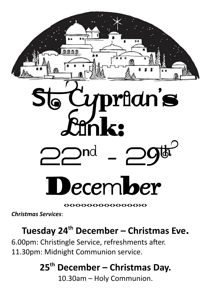

# $r$ idn' $\mathbf{s}$ Link: 22<sup>nd</sup> - 29th December

<><><><><><><><><><><><><>><>

*Christmas Services*:

# **Tuesday 24th December – Christmas Eve.**

6.00pm: Christingle Service, refreshments after. 11.30pm: Midnight Communion service.

# **25th December – Christmas Day.** 10.30am – Holy Communion.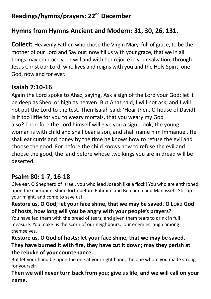# **Readings/hymns/prayers: 22nd December**

## **Hymns from Hymns Ancient and Modern: 31, 30, 26, 131.**

**Collect:** Heavenly Father, who chose the Virgin Mary, full of grace, to be the mother of our Lord and Saviour: now fill us with your grace, that we in all things may embrace your will and with her rejoice in your salvation; through Jesus Christ our Lord, who lives and reigns with you and the Holy Spirit, one God, now and for ever.

#### **Isaiah 7:10-16**

Again the Lord spoke to Ahaz, saying, Ask a sign of the Lord your God; let it be deep as Sheol or high as heaven. But Ahaz said, I will not ask, and I will not put the Lord to the test. Then Isaiah said: 'Hear then, O house of David! Is it too little for you to weary mortals, that you weary my God also? Therefore the Lord himself will give you a sign. Look, the young woman is with child and shall bear a son, and shall name him Immanuel. He shall eat curds and honey by the time he knows how to refuse the evil and choose the good. For before the child knows how to refuse the evil and choose the good, the land before whose two kings you are in dread will be deserted.

#### **Psalm 80: 1-7, 16-18**

Give ear, O Shepherd of Israel, you who lead Joseph like a flock! You who are enthroned upon the cherubim, shine forth before Ephraim and Benjamin and Manasseh. Stir up your might, and come to save us!

**Restore us, O God; let your face shine, that we may be saved. O LORD God of hosts, how long will you be angry with your people's prayers?**

You have fed them with the bread of tears, and given them tears to drink in full measure. You make us the scorn of our neighbours; our enemies laugh among themselves.

**Restore us, O God of hosts; let your face shine, that we may be saved. They have burned it with fire, they have cut it down; may they perish at the rebuke of your countenance.**

But let your hand be upon the one at your right hand, the one whom you made strong for yourself.

**Then we will never turn back from you; give us life, and we will call on your name.**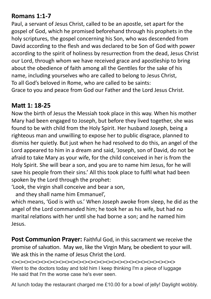#### **Romans 1:1-7**

Paul, a servant of Jesus Christ, called to be an apostle, set apart for the gospel of God, which he promised beforehand through his prophets in the holy scriptures, the gospel concerning his Son, who was descended from David according to the flesh and was declared to be Son of God with power according to the spirit of holiness by resurrection from the dead, Jesus Christ our Lord, through whom we have received grace and apostleship to bring about the obedience of faith among all the Gentiles for the sake of his name, including yourselves who are called to belong to Jesus Christ, To all God's beloved in Rome, who are called to be saints: Grace to you and peace from God our Father and the Lord Jesus Christ.

#### **Matt 1: 18-25**

Now the birth of Jesus the Messiah took place in this way. When his mother Mary had been engaged to Joseph, but before they lived together, she was found to be with child from the Holy Spirit. Her husband Joseph, being a righteous man and unwilling to expose her to public disgrace, planned to dismiss her quietly. But just when he had resolved to do this, an angel of the Lord appeared to him in a dream and said, 'Joseph, son of David, do not be afraid to take Mary as your wife, for the child conceived in her is from the Holy Spirit. She will bear a son, and you are to name him Jesus, for he will save his people from their sins.' All this took place to fulfil what had been spoken by the Lord through the prophet:

'Look, the virgin shall conceive and bear a son,

and they shall name him Emmanuel',

which means, 'God is with us.' When Joseph awoke from sleep, he did as the angel of the Lord commanded him; he took her as his wife, but had no marital relations with her until she had borne a son; and he named him Jesus.

**Post Communion Prayer:** Faithful God, in this sacrament we receive the promise of salvation. May we, like the Virgin Mary, be obedient to your will. We ask this in the name of Jesus Christ the Lord.

<><><><><><><><><><><><><><><><><><><><><><><><><><><><> Went to the doctors today and told him I keep thinking I'm a piece of luggage He said that I'm the worse case he's ever seen.

At lunch today the restaurant charged me £10.00 for a bowl of jelly! Daylight wobbly.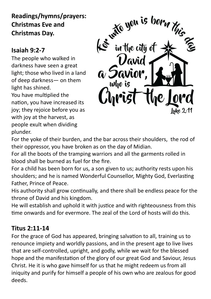# **Readings/hymns/prayers: Christmas Eve and Christmas Day.**

#### **Isaiah 9:2-7**

The people who walked in darkness have seen a great light; those who lived in a land of deep darkness— on them light has shined.

You have multiplied the nation, you have increased its joy; they rejoice before you as with joy at the harvest, as people exult when dividing plunder.



For the yoke of their burden, and the bar across their shoulders, the rod of their oppressor, you have broken as on the day of Midian.

For all the boots of the tramping warriors and all the garments rolled in blood shall be burned as fuel for the fire.

For a child has been born for us, a son given to us; authority rests upon his shoulders; and he is named Wonderful Counsellor, Mighty God, Everlasting Father, Prince of Peace.

His authority shall grow continually, and there shall be endless peace for the throne of David and his kingdom.

He will establish and uphold it with justice and with righteousness from this time onwards and for evermore. The zeal of the Lord of hosts will do this.

#### **Titus 2:11-14**

For the grace of God has appeared, bringing salvation to all, training us to renounce impiety and worldly passions, and in the present age to live lives that are self-controlled, upright, and godly, while we wait for the blessed hope and the manifestation of the glory of our great God and Saviour, Jesus Christ. He it is who gave himself for us that he might redeem us from all iniquity and purify for himself a people of his own who are zealous for good deeds.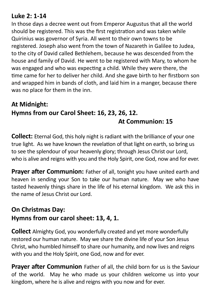#### **Luke 2: 1-14**

In those days a decree went out from Emperor Augustus that all the world should be registered. This was the first registration and was taken while Quirinius was governor of Syria. All went to their own towns to be registered. Joseph also went from the town of Nazareth in Galilee to Judea, to the city of David called Bethlehem, because he was descended from the house and family of David. He went to be registered with Mary, to whom he was engaged and who was expecting a child. While they were there, the time came for her to deliver her child. And she gave birth to her firstborn son and wrapped him in bands of cloth, and laid him in a manger, because there was no place for them in the inn.

## **At Midnight: Hymns from our Carol Sheet: 16, 23, 26, 12. At Communion: 15**

**Collect:** Eternal God, this holy night is radiant with the brilliance of your one true light. As we have known the revelation of that light on earth, so bring us to see the splendour of your heavenly glory; through Jesus Christ our Lord, who is alive and reigns with you and the Holy Spirit, one God, now and for ever.

**Prayer after Communion:** Father of all, tonight you have united earth and heaven in sending your Son to take our human nature. May we who have tasted heavenly things share in the life of his eternal kingdom. We ask this in the name of Jesus Christ our Lord.

#### **On Christmas Day: Hymns from our carol sheet: 13, 4, 1.**

**Collect** Almighty God, you wonderfully created and yet more wonderfully restored our human nature. May we share the divine life of your Son Jesus Christ, who humbled himself to share our humanity, and now lives and reigns with you and the Holy Spirit, one God, now and for ever.

**Prayer after Communion** Father of all, the child born for us is the Saviour of the world. May he who made us your children welcome us into your kingdom, where he is alive and reigns with you now and for ever.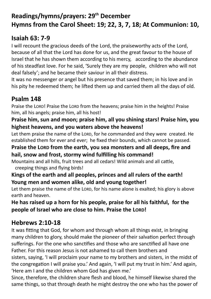# **Readings/hymns/prayers: 29th December Hymns from the Carol Sheet: 19; 22, 3, 7, 18; At Communion: 10,**

# **Isaiah 63: 7-9**

I will recount the gracious deeds of the Lord, the praiseworthy acts of the Lord, because of all that the Lord has done for us, and the great favour to the house of Israel that he has shown them according to his mercy, according to the abundance of his steadfast love. For he said, 'Surely they are my people, children who will not deal falsely'; and he became their saviour in all their distress.

It was no messenger or angel but his presence that saved them; in his love and in his pity he redeemed them; he lifted them up and carried them all the days of old.

# **Psalm 148**

Praise the LORD! Praise the LORD from the heavens; praise him in the heights! Praise him, all his angels; praise him, all his host!

#### **Praise him, sun and moon; praise him, all you shining stars! Praise him, you highest heavens, and you waters above the heavens!**

Let them praise the name of the LORD, for he commanded and they were created. He established them for ever and ever; he fixed their bounds, which cannot be passed.

#### **Praise the LORD from the earth, you sea monsters and all deeps, fire and hail, snow and frost, stormy wind fulfilling his command!**

Mountains and all hills, fruit trees and all cedars! Wild animals and all cattle, creeping things and flying birds!

#### **Kings of the earth and all peoples, princes and all rulers of the earth! Young men and women alike, old and young together!**

Let them praise the name of the LORD, for his name alone is exalted; his glory is above earth and heaven.

**He has raised up a horn for his people, praise for all his faithful, for the people of Israel who are close to him. Praise the LORD!**

# **Hebrews 2:10-18**

It was fitting that God, for whom and through whom all things exist, in bringing many children to glory, should make the pioneer of their salvation perfect through sufferings. For the one who sanctifies and those who are sanctified all have one Father. For this reason Jesus is not ashamed to call them brothers and sisters, saying, 'I will proclaim your name to my brothers and sisters, in the midst of the congregation I will praise you.' And again, 'I will put my trust in him.' And again, 'Here am I and the children whom God has given me.'

Since, therefore, the children share flesh and blood, he himself likewise shared the same things, so that through death he might destroy the one who has the power of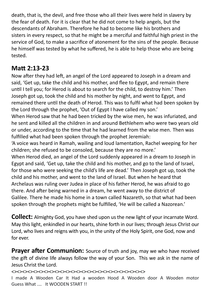death, that is, the devil, and free those who all their lives were held in slavery by the fear of death. For it is clear that he did not come to help angels, but the descendants of Abraham. Therefore he had to become like his brothers and sisters in every respect, so that he might be a merciful and faithful high priest in the service of God, to make a sacrifice of atonement for the sins of the people. Because he himself was tested by what he suffered, he is able to help those who are being tested.

#### **Matt 2:13-23**

Now after they had left, an angel of the Lord appeared to Joseph in a dream and said, 'Get up, take the child and his mother, and flee to Egypt, and remain there until I tell you; for Herod is about to search for the child, to destroy him.' Then Joseph got up, took the child and his mother by night, and went to Egypt, and remained there until the death of Herod. This was to fulfil what had been spoken by the Lord through the prophet, 'Out of Egypt I have called my son.'

When Herod saw that he had been tricked by the wise men, he was infuriated, and he sent and killed all the children in and around Bethlehem who were two years old or under, according to the time that he had learned from the wise men. Then was fulfilled what had been spoken through the prophet Jeremiah:

'A voice was heard in Ramah, wailing and loud lamentation, Rachel weeping for her children; she refused to be consoled, because they are no more.'

When Herod died, an angel of the Lord suddenly appeared in a dream to Joseph in Egypt and said, 'Get up, take the child and his mother, and go to the land of Israel, for those who were seeking the child's life are dead.' Then Joseph got up, took the child and his mother, and went to the land of Israel. But when he heard that Archelaus was ruling over Judea in place of his father Herod, he was afraid to go there. And after being warned in a dream, he went away to the district of Galilee. There he made his home in a town called Nazareth, so that what had been spoken through the prophets might be fulfilled, 'He will be called a Nazorean.'

**Collect:** Almighty God, you have shed upon us the new light of your incarnate Word. May this light, enkindled in our hearts, shine forth in our lives; through Jesus Christ our Lord, who lives and reigns with you, in the unity of the Holy Spirit, one God, now and for ever.

**Prayer after Communion:** Source of truth and joy, may we who have received the gift of divine life always follow the way of your Son. This we ask in the name of Jesus Christ the Lord.

<><><><><><><><><><><><><><><><><><><><><><><><><>

I made A Wooden Car It Had a wooden Hood A Wooden door A Wooden motor Guess What ... It WOODEN START II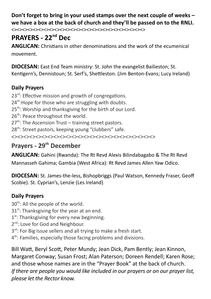**Don't forget to bring in your used stamps over the next couple of weeks – we have a box at the back of church and they'll be passed on to the RNLI.**

<><><><><><><><><><><><><><><><><><><><><><><><><>

# **PRAYERS - 22nd Dec**

**ANGLICAN:** Christians in other denominations and the work of the ecumenical movement.

**DIOCESAN:** East End Team ministry: St. John the evangelist Bailieston; St. Kentigern's, Dennistoun; St. Serf's, Shettleston. (Jim Benton-Evans; Lucy Ireland)

#### **Daily Prayers**

23<sup>rd</sup>: Effective mission and growth of congregations.

24<sup>th</sup>: Hope for those who are struggling with doubts.

25<sup>th</sup>: Worship and thanksgiving for the birth of our Lord.

 $26<sup>th</sup>$ : Peace throughout the world.

 $27<sup>th</sup>$ : The Ascension Trust – training street pastors.

28<sup>th</sup>: Street pastors, keeping young "clubbers" safe.

<><><><><><><><><><><><><><><><><><><><><><><><>

# **Prayers - 29th December**

**ANGLICAN:** Gahini (Rwanda): The Rt Revd Alexis Bilindabagabo & The Rt Revd Mannasseh Gahima; Gambia (West Africa): Rt Revd James Allen Yaw Odico.

**DIOCESAN:** St. James-the-less, Bishopbriggs (Paul Watson, Kennedy Fraser, Geoff Scobie). St. Cyprian's, Lenzie (Les Ireland)

#### **Daily Prayers**

30<sup>th</sup>: All the people of the world.

 $31<sup>st</sup>$ : Thanksgiving for the year at an end.

1<sup>st</sup>: Thanksgiving for every new beginning.

2<sup>nd</sup>: Love for God and Neighbour.

3<sup>rd</sup>: For Big Issue sellers and all trying to make a fresh start.

4<sup>th</sup>: Families, especially those facing problems and divisions.

Bill Watt, Beryl Scott, Peter Mundy; Jean Dick, Pam Bently; Jean Kinnon, Margaret Conway; Susan Frost; Alan Paterson; Doreen Rendell; Karen Rose; and those whose names are in the "Prayer Book" at the back of church. *If there are people you would like included in our prayers or on our prayer list, please let the Rector know.*